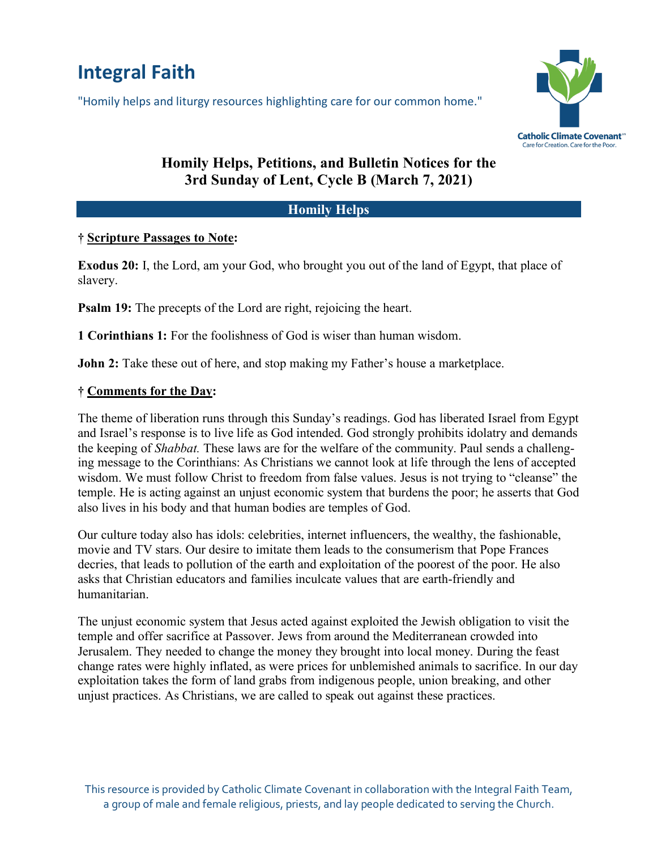# **Integral Faith**

"Homily helps and liturgy resources highlighting care for our common home."



# **Homily Helps, Petitions, and Bulletin Notices for the 3rd Sunday of Lent, Cycle B (March 7, 2021)**

## **Homily Helps**

#### **† Scripture Passages to Note:**

**Exodus 20:** I, the Lord, am your God, who brought you out of the land of Egypt, that place of slavery.

**Psalm 19:** The precepts of the Lord are right, rejoicing the heart.

**1 Corinthians 1:** For the foolishness of God is wiser than human wisdom.

**John 2:** Take these out of here, and stop making my Father's house a marketplace.

#### **† Comments for the Day:**

The theme of liberation runs through this Sunday's readings. God has liberated Israel from Egypt and Israel's response is to live life as God intended. God strongly prohibits idolatry and demands the keeping of *Shabbat.* These laws are for the welfare of the community. Paul sends a challenging message to the Corinthians: As Christians we cannot look at life through the lens of accepted wisdom. We must follow Christ to freedom from false values. Jesus is not trying to "cleanse" the temple. He is acting against an unjust economic system that burdens the poor; he asserts that God also lives in his body and that human bodies are temples of God.

Our culture today also has idols: celebrities, internet influencers, the wealthy, the fashionable, movie and TV stars. Our desire to imitate them leads to the consumerism that Pope Frances decries, that leads to pollution of the earth and exploitation of the poorest of the poor. He also asks that Christian educators and families inculcate values that are earth-friendly and humanitarian.

The unjust economic system that Jesus acted against exploited the Jewish obligation to visit the temple and offer sacrifice at Passover. Jews from around the Mediterranean crowded into Jerusalem. They needed to change the money they brought into local money. During the feast change rates were highly inflated, as were prices for unblemished animals to sacrifice. In our day exploitation takes the form of land grabs from indigenous people, union breaking, and other unjust practices. As Christians, we are called to speak out against these practices.